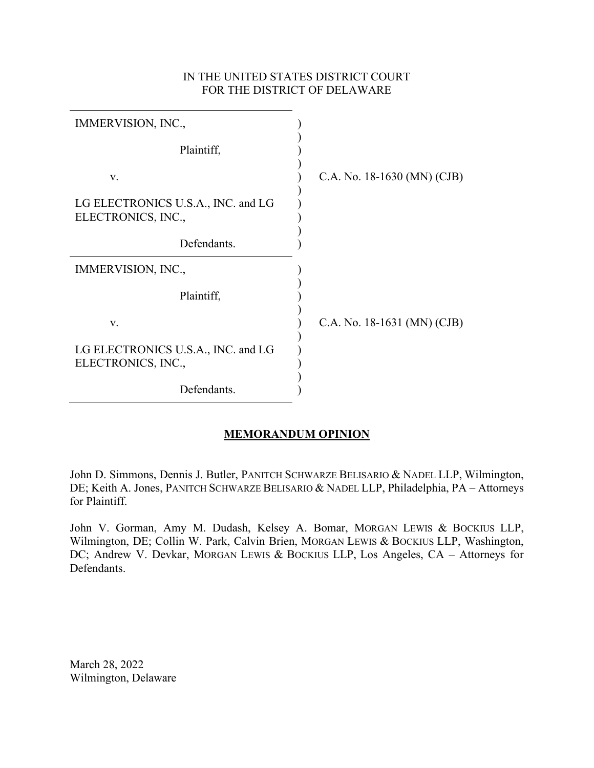## IN THE UNITED STATES DISTRICT COURT FOR THE DISTRICT OF DELAWARE

| IMMERVISION, INC.,                                       |                             |
|----------------------------------------------------------|-----------------------------|
| Plaintiff,                                               |                             |
| V.                                                       | C.A. No. 18-1630 (MN) (CJB) |
| LG ELECTRONICS U.S.A., INC. and LG<br>ELECTRONICS, INC., |                             |
| Defendants.                                              |                             |
| IMMERVISION, INC.,                                       |                             |
| Plaintiff,                                               |                             |
| V.                                                       | C.A. No. 18-1631 (MN) (CJB) |
| LG ELECTRONICS U.S.A., INC. and LG<br>ELECTRONICS, INC., |                             |
| Defendants.                                              |                             |

# **MEMORANDUM OPINION**

John D. Simmons, Dennis J. Butler, PANITCH SCHWARZE BELISARIO & NADEL LLP, Wilmington, DE; Keith A. Jones, PANITCH SCHWARZE BELISARIO & NADEL LLP, Philadelphia, PA – Attorneys for Plaintiff.

John V. Gorman, Amy M. Dudash, Kelsey A. Bomar, MORGAN LEWIS & BOCKIUS LLP, Wilmington, DE; Collin W. Park, Calvin Brien, MORGAN LEWIS & BOCKIUS LLP, Washington, DC; Andrew V. Devkar, MORGAN LEWIS & BOCKIUS LLP, Los Angeles, CA – Attorneys for Defendants.

March 28, 2022 Wilmington, Delaware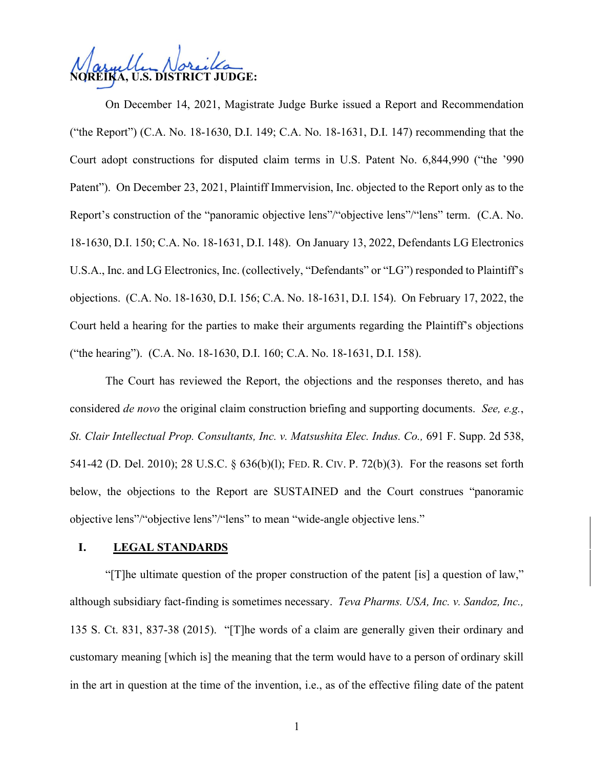**U.S. DISTRICT JUDGE:** 

On December 14, 2021, Magistrate Judge Burke issued a Report and Recommendation ("the Report") (C.A. No. 18-1630, D.I. 149; C.A. No. 18-1631, D.I. 147) recommending that the Court adopt constructions for disputed claim terms in U.S. Patent No. 6,844,990 ("the '990 Patent"). On December 23, 2021, Plaintiff Immervision, Inc. objected to the Report only as to the Report's construction of the "panoramic objective lens"/"objective lens"/"lens" term. (C.A. No. 18-1630, D.I. 150; C.A. No. 18-1631, D.I. 148). On January 13, 2022, Defendants LG Electronics U.S.A., Inc. and LG Electronics, Inc. (collectively, "Defendants" or "LG") responded to Plaintiff's objections. (C.A. No. 18-1630, D.I. 156; C.A. No. 18-1631, D.I. 154). On February 17, 2022, the Court held a hearing for the parties to make their arguments regarding the Plaintiff's objections ("the hearing"). (C.A. No. 18-1630, D.I. 160; C.A. No. 18-1631, D.I. 158).

The Court has reviewed the Report, the objections and the responses thereto, and has considered *de novo* the original claim construction briefing and supporting documents. *See, e.g.*, *St. Clair Intellectual Prop. Consultants, Inc. v. Matsushita Elec. Indus. Co.,* [691 F. Supp. 2d 538,](http://scholar.google.com/scholar?q=691%2Bf.%2Bsupp.%2B2d%2B538&btnG&hl=en&as_sdt=6)  [541-42 \(](http://scholar.google.com/scholar?q=691%2Bf.%2Bsupp.%2B2d%2B538&btnG&hl=en&as_sdt=6)D. Del. 2010); [28 U.S.C. § 636\(b\)\(l\);](http://www.google.com/search?q=28%2Bu.s.c.%2B%2B636(b)(l)) FED. R. CIV. P. [72\(b\)\(3\)](http://www.google.com/search?q=FRCP%2B72(b)(3)). For the reasons set forth below, the objections to the Report are SUSTAINED and the Court construes "panoramic objective lens"/"objective lens"/"lens" to mean "wide-angle objective lens."

#### **I. LEGAL STANDARDS**

"[T]he ultimate question of the proper construction of the patent [is] a question of law," although subsidiary fact-finding is sometimes necessary. *Teva Pharms. USA, Inc. v. Sandoz, Inc.,*  [135 S. Ct. 831, 837-38 \(](http://scholar.google.com/scholar?q=135%2Bs.%2Bct.%2B831&btnG&hl=en&as_sdt=6)2015). "[T]he words of a claim are generally given their ordinary and customary meaning [which is] the meaning that the term would have to a person of ordinary skill in the art in question at the time of the invention, i.e., as of the effective filing date of the patent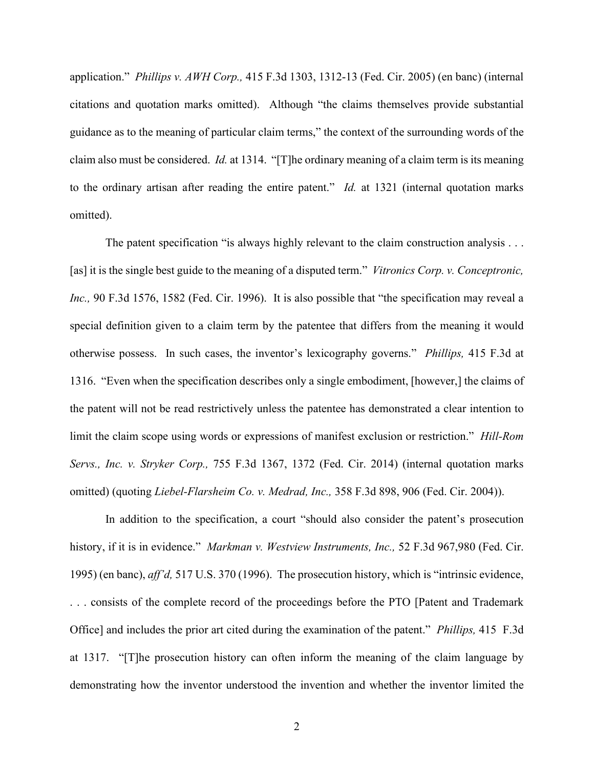application." *Phillips v. AWH Corp.,* [415 F.3d 1303, 1312-13 \(](http://scholar.google.com/scholar?q=415%2Bf.3d%2B1303&btnG&hl=en&as_sdt=6)Fed. Cir. 2005) (en banc) (internal citations and quotation marks omitted). Although "the claims themselves provide substantial guidance as to the meaning of particular claim terms," the context of the surrounding words of the claim also must be considered. *Id.* at 1314. "[T]he ordinary meaning of a claim term is its meaning to the ordinary artisan after reading the entire patent." *Id.* at 1321 (internal quotation marks omitted).

The patent specification "is always highly relevant to the claim construction analysis . . . [as] it is the single best guide to the meaning of a disputed term." *Vitronics Corp. v. Conceptronic, Inc.,* [90 F.3d 1576, 1582 \(](http://scholar.google.com/scholar?q=90%2Bf.3d%2B1576&btnG&hl=en&as_sdt=6)Fed. Cir. 1996). It is also possible that "the specification may reveal a special definition given to a claim term by the patentee that differs from the meaning it would otherwise possess. In such cases, the inventor's lexicography governs." *Phillips,* [415 F.3d at](http://scholar.google.com/scholar?q=415%2Bf.3d%2B1303&btnG&hl=en&as_sdt=6) [1316.](http://scholar.google.com/scholar?q=415%2Bf.3d%2B1303&btnG&hl=en&as_sdt=6) "Even when the specification describes only a single embodiment, [however,] the claims of the patent will not be read restrictively unless the patentee has demonstrated a clear intention to limit the claim scope using words or expressions of manifest exclusion or restriction." *Hill-Rom Servs., Inc. v. Stryker Corp.,* [755 F.3d 1367, 1372](http://scholar.google.com/scholar?q=755%2Bf.3d%2B%2B1367&btnG&hl=en&as_sdt=6) (Fed. Cir. 2014) (internal quotation marks omitted) (quoting *Liebel-Flarsheim Co. v. Medrad, Inc.,* [358 F.3d 898, 906 \(](http://scholar.google.com/scholar?q=358%2Bf.3d%2B898&btnG&hl=en&as_sdt=6)Fed. Cir. 2004)).

In addition to the specification, a court "should also consider the patent's prosecution history, if it is in evidence." *Markman v. Westview Instruments, Inc.,* [52 F.3d 967,980 \(](http://scholar.google.com/scholar?q=52%2Bf.3d%2B967&btnG&hl=en&as_sdt=6)Fed. Cir. 1995) (en banc), *aff'd,* [517 U.S. 370 \(](http://scholar.google.com/scholar?q=517%2Bu.s.%2B370&btnG&hl=en&as_sdt=6)1996). The prosecution history, which is "intrinsic evidence, . . . consists of the complete record of the proceedings before the PTO [Patent and Trademark Office] and includes the prior art cited during the examination of the patent." *Phillips,* [415 F.3d](http://scholar.google.com/scholar?q=415%2Bf.3d%2B1303&btnG&hl=en&as_sdt=6) [at 1317.](http://scholar.google.com/scholar?q=415%2Bf.3d%2B1303&btnG&hl=en&as_sdt=6) "[T]he prosecution history can often inform the meaning of the claim language by demonstrating how the inventor understood the invention and whether the inventor limited the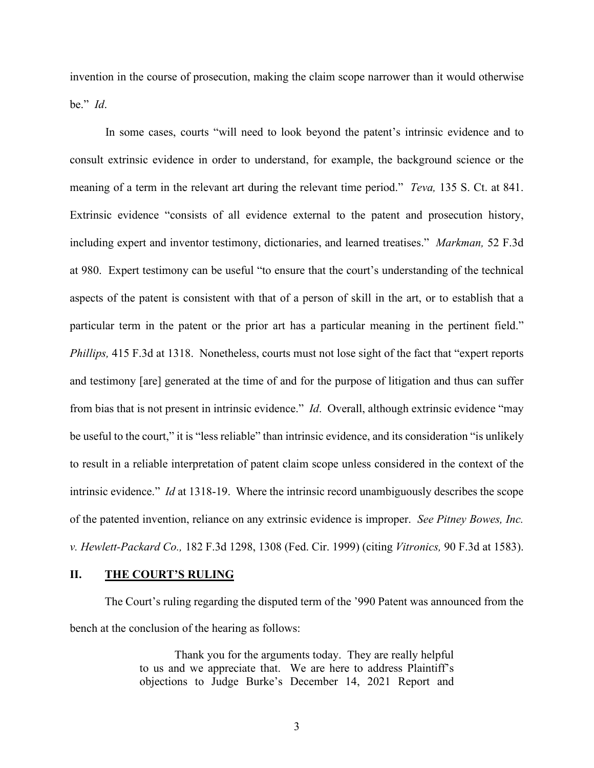invention in the course of prosecution, making the claim scope narrower than it would otherwise be." *Id*.

In some cases, courts "will need to look beyond the patent's intrinsic evidence and to consult extrinsic evidence in order to understand, for example, the background science or the meaning of a term in the relevant art during the relevant time period." *Teva,* [135 S. Ct. at 841.](http://scholar.google.com/scholar?q=135%2Bs.%2Bct.%2B831&btnG&hl=en&as_sdt=6) Extrinsic evidence "consists of all evidence external to the patent and prosecution history, including expert and inventor testimony, dictionaries, and learned treatises." *Markman,* [52 F.3d](http://scholar.google.com/scholar?q=52%2Bf.3d%2B967&btnG&hl=en&as_sdt=6) [at 980.](http://scholar.google.com/scholar?q=52%2Bf.3d%2B967&btnG&hl=en&as_sdt=6) Expert testimony can be useful "to ensure that the court's understanding of the technical aspects of the patent is consistent with that of a person of skill in the art, or to establish that a particular term in the patent or the prior art has a particular meaning in the pertinent field." *Phillips*, [415 F.3d at 1318.](http://scholar.google.com/scholar?q=415%2Bf.3d%2B1303&btnG&hl=en&as_sdt=6) Nonetheless, courts must not lose sight of the fact that "expert reports" and testimony [are] generated at the time of and for the purpose of litigation and thus can suffer from bias that is not present in intrinsic evidence." *Id*. Overall, although extrinsic evidence "may be useful to the court," it is "less reliable" than intrinsic evidence, and its consideration "is unlikely to result in a reliable interpretation of patent claim scope unless considered in the context of the intrinsic evidence." *Id* at 1318-19. Where the intrinsic record unambiguously describes the scope of the patented invention, reliance on any extrinsic evidence is improper. *See Pitney Bowes, Inc. v. Hewlett-Packard Co.,* [182 F.3d 1298, 1308 \(](http://scholar.google.com/scholar?q=182%2Bf.3d%2B1298&btnG&hl=en&as_sdt=6)Fed. Cir. 1999) (citing *Vitronics,* [90 F.3d at 1583\)](http://scholar.google.com/scholar?q=90%2Bf.3d%2B1576&btnG&hl=en&as_sdt=6).

#### **II. THE COURT'S RULING**

The Court's ruling regarding the disputed term of the '990 Patent was announced from the bench at the conclusion of the hearing as follows:

> Thank you for the arguments today. They are really helpful to us and we appreciate that. We are here to address Plaintiff's objections to Judge Burke's December 14, 2021 Report and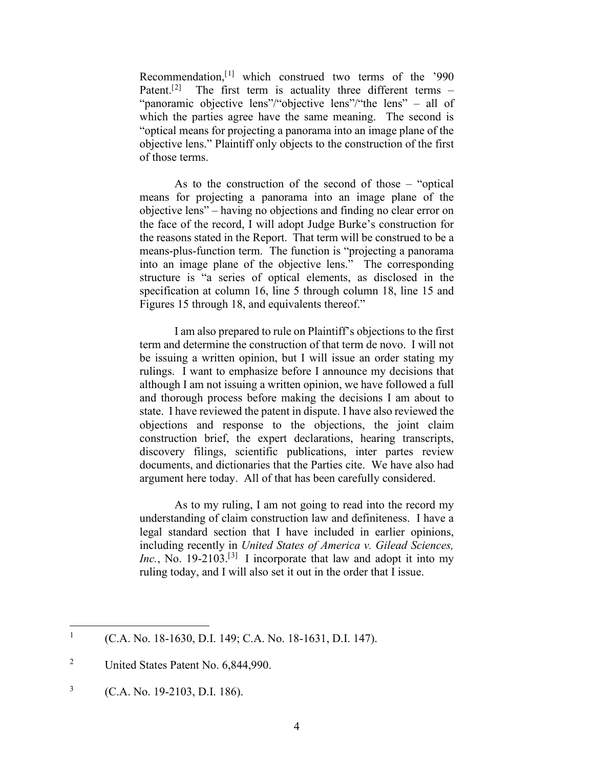Recommendation,[[1\]](#page-4-0) which construed two terms of the '990 Patent.<sup>[[2](#page-4-1)]</sup> The first term is actuality three different terms – "panoramic objective lens"/"objective lens"/"the lens" – all of which the parties agree have the same meaning. The second is "optical means for projecting a panorama into an image plane of the objective lens." Plaintiff only objects to the construction of the first of those terms.

As to the construction of the second of those – "optical means for projecting a panorama into an image plane of the objective lens" – having no objections and finding no clear error on the face of the record, I will adopt Judge Burke's construction for the reasons stated in the Report. That term will be construed to be a means-plus-function term. The function is "projecting a panorama into an image plane of the objective lens." The corresponding structure is "a series of optical elements, as disclosed in the specification at column 16, line 5 through column 18, line 15 and Figures 15 through 18, and equivalents thereof."

I am also prepared to rule on Plaintiff's objections to the first term and determine the construction of that term de novo. I will not be issuing a written opinion, but I will issue an order stating my rulings. I want to emphasize before I announce my decisions that although I am not issuing a written opinion, we have followed a full and thorough process before making the decisions I am about to state. I have reviewed the patent in dispute. I have also reviewed the objections and response to the objections, the joint claim construction brief, the expert declarations, hearing transcripts, discovery filings, scientific publications, inter partes review documents, and dictionaries that the Parties cite. We have also had argument here today. All of that has been carefully considered.

As to my ruling, I am not going to read into the record my understanding of claim construction law and definiteness. I have a legal standard section that I have included in earlier opinions, including recently in *United States of America v. Gilead Sciences,*  Inc., No. 19-210[3](#page-4-2).<sup>[3]</sup> I incorporate that law and adopt it into my ruling today, and I will also set it out in the order that I issue.

<span id="page-4-0"></span><sup>&</sup>lt;sup>1</sup> (C.A. No. 18-1630, D.I. 149; C.A. No. 18-1631, D.I. 147).

<span id="page-4-1"></span><sup>&</sup>lt;sup>2</sup> United States Patent No. 6,844,990.

<span id="page-4-2"></span><sup>3</sup> (C.A. No. 19-2103, D.I. 186).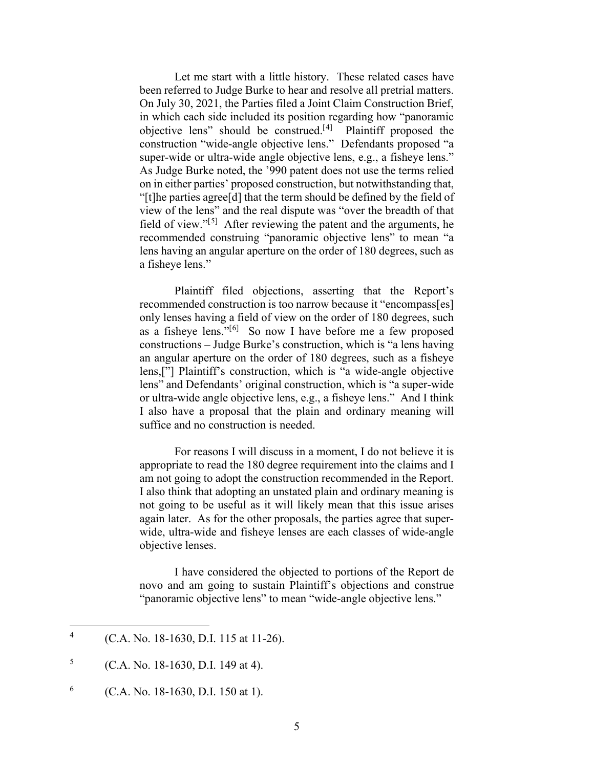Let me start with a little history. These related cases have been referred to Judge Burke to hear and resolve all pretrial matters. On July 30, 2021, the Parties filed a Joint Claim Construction Brief, in which each side included its position regarding how "panoramic objective lens" should be construed.[[4](#page-5-0)] Plaintiff proposed the construction "wide-angle objective lens." Defendants proposed "a super-wide or ultra-wide angle objective lens, e.g., a fisheye lens." As Judge Burke noted, the '990 patent does not use the terms relied on in either parties' proposed construction, but notwithstanding that, "[t]he parties agree[d] that the term should be defined by the field of view of the lens" and the real dispute was "over the breadth of that field of view." $[5]$  $[5]$  After reviewing the patent and the arguments, he recommended construing "panoramic objective lens" to mean "a lens having an angular aperture on the order of 180 degrees, such as a fisheye lens."

Plaintiff filed objections, asserting that the Report's recommended construction is too narrow because it "encompass[es] only lenses having a field of view on the order of 180 degrees, such as a fisheye lens."[[6\]](#page-5-2) So now I have before me a few proposed constructions – Judge Burke's construction, which is "a lens having an angular aperture on the order of 180 degrees, such as a fisheye lens,["] Plaintiff's construction, which is "a wide-angle objective lens" and Defendants' original construction, which is "a super-wide or ultra-wide angle objective lens, e.g., a fisheye lens." And I think I also have a proposal that the plain and ordinary meaning will suffice and no construction is needed.

For reasons I will discuss in a moment, I do not believe it is appropriate to read the 180 degree requirement into the claims and I am not going to adopt the construction recommended in the Report. I also think that adopting an unstated plain and ordinary meaning is not going to be useful as it will likely mean that this issue arises again later. As for the other proposals, the parties agree that superwide, ultra-wide and fisheye lenses are each classes of wide-angle objective lenses.

I have considered the objected to portions of the Report de novo and am going to sustain Plaintiff's objections and construe "panoramic objective lens" to mean "wide-angle objective lens."

<span id="page-5-0"></span><sup>4</sup> (C.A. No. 18-1630, D.I. 115 at 11-26).

<span id="page-5-1"></span> $5$  (C.A. No. 18-1630, D.I. 149 at 4).

<span id="page-5-2"></span><sup>&</sup>lt;sup>6</sup> (C.A. No. 18-1630, D.I. 150 at 1).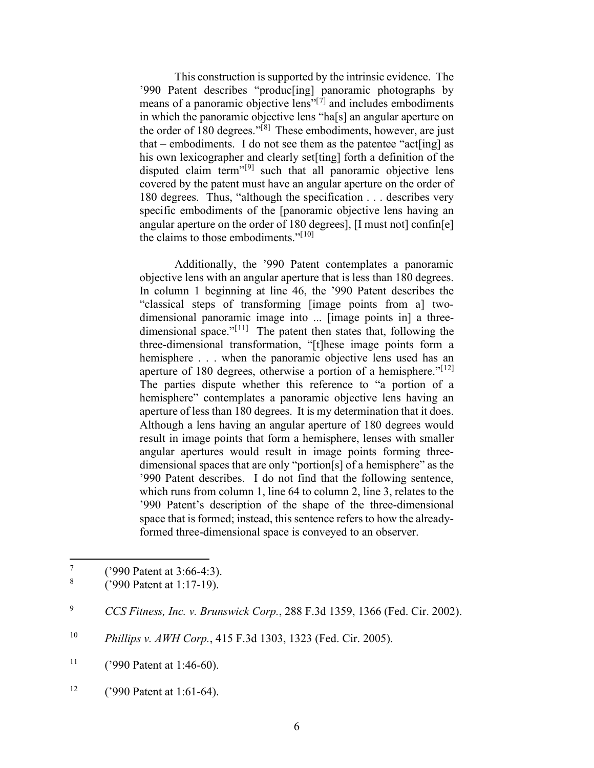This construction is supported by the intrinsic evidence. The '990 Patent describes "produc[ing] panoramic photographs by means of a panoramic objective lens" $[7]$  $[7]$  $[7]$  and includes embodiments in which the panoramic objective lens "ha[s] an angular aperture on the order of  $\frac{1}{80}$  $\frac{1}{80}$  $\frac{1}{80}$  degrees."<sup>[8]</sup> These embodiments, however, are just that – embodiments. I do not see them as the patentee "act[ing] as his own lexicographer and clearly set[ting] forth a definition of the disputed claim term<sup> $n[9]$  $n[9]$  $n[9]$ </sup> such that all panoramic objective lens covered by the patent must have an angular aperture on the order of 180 degrees. Thus, "although the specification . . . describes very specific embodiments of the [panoramic objective lens having an angular aperture on the order of 180 degrees], [I must not] confin[e] the claims to those embodiments." $[10]$  $[10]$  $[10]$ 

Additionally, the '990 Patent contemplates a panoramic objective lens with an angular aperture that is less than 180 degrees. In column 1 beginning at line 46, the '990 Patent describes the "classical steps of transforming [image points from a] twodimensional panoramic image into ... [image points in] a threedimensional space." $[11]$  $[11]$  $[11]$  The patent then states that, following the three-dimensional transformation, "[t]hese image points form a hemisphere . . . when the panoramic objective lens used has an aperture of 180 degrees, otherwise a portion of a hemisphere." $[12]$  $[12]$  $[12]$ The parties dispute whether this reference to "a portion of a hemisphere" contemplates a panoramic objective lens having an aperture of less than 180 degrees. It is my determination that it does. Although a lens having an angular aperture of 180 degrees would result in image points that form a hemisphere, lenses with smaller angular apertures would result in image points forming threedimensional spaces that are only "portion[s] of a hemisphere" as the '990 Patent describes. I do not find that the following sentence, which runs from column 1, line 64 to column 2, line 3, relates to the '990 Patent's description of the shape of the three-dimensional space that is formed; instead, this sentence refers to how the alreadyformed three-dimensional space is conveyed to an observer.

<span id="page-6-1"></span><span id="page-6-0"></span> $^{7}$  ('990 Patent at 3:66-4:3).

<sup>8</sup> ('990 Patent at 1:17-19).

<span id="page-6-2"></span><sup>9</sup> *CCS Fitness, Inc. v. Brunswick Corp.*, 288 F.3d 1359, 1366 (Fed. Cir. 2002).

<span id="page-6-3"></span><sup>10</sup> *Phillips v. AWH Corp.*, 415 F.3d 1303, 1323 (Fed. Cir. 2005).

<span id="page-6-4"></span><sup>&</sup>lt;sup>11</sup> ('990 Patent at 1:46-60).

<span id="page-6-5"></span><sup>&</sup>lt;sup>12</sup> ('990 Patent at 1:61-64).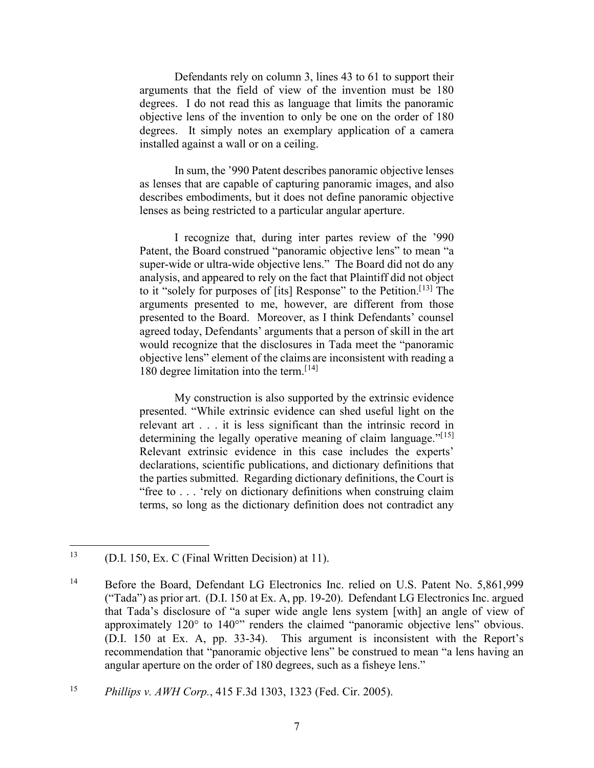Defendants rely on column 3, lines 43 to 61 to support their arguments that the field of view of the invention must be 180 degrees. I do not read this as language that limits the panoramic objective lens of the invention to only be one on the order of 180 degrees. It simply notes an exemplary application of a camera installed against a wall or on a ceiling.

In sum, the '990 Patent describes panoramic objective lenses as lenses that are capable of capturing panoramic images, and also describes embodiments, but it does not define panoramic objective lenses as being restricted to a particular angular aperture.

I recognize that, during inter partes review of the '990 Patent, the Board construed "panoramic objective lens" to mean "a super-wide or ultra-wide objective lens." The Board did not do any analysis, and appeared to rely on the fact that Plaintiff did not object to it "solely for purposes of [its] Response" to the Petition.<sup>[[13](#page-7-0)]</sup> The arguments presented to me, however, are different from those presented to the Board. Moreover, as I think Defendants' counsel agreed today, Defendants' arguments that a person of skill in the art would recognize that the disclosures in Tada meet the "panoramic objective lens" element of the claims are inconsistent with reading a 180 degree limitation into the term.<sup>[[14](#page-7-1)]</sup>

My construction is also supported by the extrinsic evidence presented. "While extrinsic evidence can shed useful light on the relevant art . . . it is less significant than the intrinsic record in determining the legally operative meaning of claim language." $[15]$  $[15]$  $[15]$ Relevant extrinsic evidence in this case includes the experts' declarations, scientific publications, and dictionary definitions that the parties submitted. Regarding dictionary definitions, the Court is "free to . . . 'rely on dictionary definitions when construing claim terms, so long as the dictionary definition does not contradict any

<span id="page-7-0"></span><sup>&</sup>lt;sup>13</sup> (D.I. 150, Ex. C (Final Written Decision) at 11).

<span id="page-7-1"></span><sup>&</sup>lt;sup>14</sup> Before the Board, Defendant LG Electronics Inc. relied on U.S. Patent No. 5,861,999 ("Tada") as prior art. (D.I. 150 at Ex. A, pp. 19-20). Defendant LG Electronics Inc. argued that Tada's disclosure of "a super wide angle lens system [with] an angle of view of approximately 120° to 140°" renders the claimed "panoramic objective lens" obvious. (D.I. 150 at Ex. A, pp. 33-34). This argument is inconsistent with the Report's recommendation that "panoramic objective lens" be construed to mean "a lens having an angular aperture on the order of 180 degrees, such as a fisheye lens."

<span id="page-7-2"></span><sup>15</sup> *Phillips v. AWH Corp.*, 415 F.3d 1303, 1323 (Fed. Cir. 2005).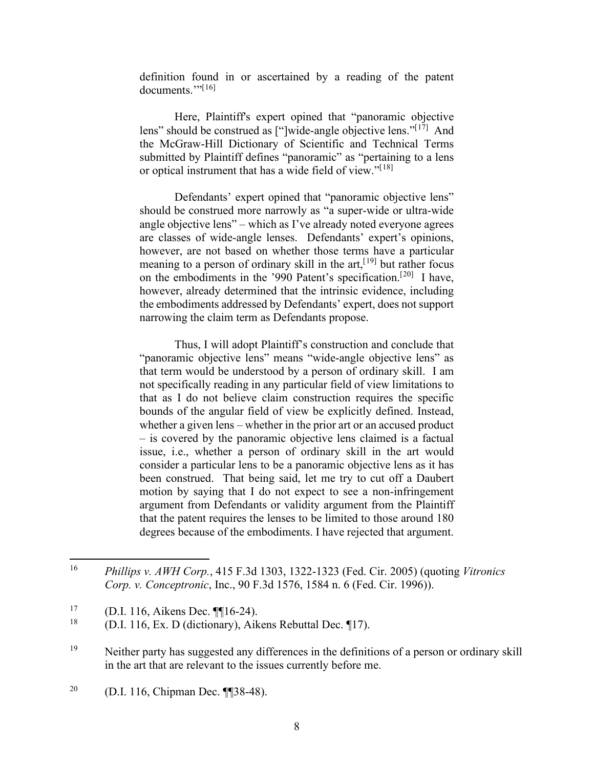definition found in or ascertained by a reading of the patent  $documents.$ "<sup>[[16\]](#page-8-0)</sup>

Here, Plaintiff's expert opined that "panoramic objective lens" should be construed as ["]wide-angle objective lens." $[17]$  $[17]$  And the McGraw-Hill Dictionary of Scientific and Technical Terms submitted by Plaintiff defines "panoramic" as "pertaining to a lens or optical instrument that has a wide field of view."<sup>[[18\]](#page-8-2)</sup>

Defendants' expert opined that "panoramic objective lens" should be construed more narrowly as "a super-wide or ultra-wide angle objective lens" – which as I've already noted everyone agrees are classes of wide-angle lenses. Defendants' expert's opinions, however, are not based on whether those terms have a particular meaning to a person of ordinary skill in the  $art$ ,  $[19]$  $[19]$  but rather focus on the embodiments in the '990 Patent's specification.[[20\]](#page-8-4) I have, however, already determined that the intrinsic evidence, including the embodiments addressed by Defendants' expert, does not support narrowing the claim term as Defendants propose.

Thus, I will adopt Plaintiff's construction and conclude that "panoramic objective lens" means "wide-angle objective lens" as that term would be understood by a person of ordinary skill. I am not specifically reading in any particular field of view limitations to that as I do not believe claim construction requires the specific bounds of the angular field of view be explicitly defined. Instead, whether a given lens – whether in the prior art or an accused product – is covered by the panoramic objective lens claimed is a factual issue, i.e., whether a person of ordinary skill in the art would consider a particular lens to be a panoramic objective lens as it has been construed. That being said, let me try to cut off a Daubert motion by saying that I do not expect to see a non-infringement argument from Defendants or validity argument from the Plaintiff that the patent requires the lenses to be limited to those around 180 degrees because of the embodiments. I have rejected that argument.

<span id="page-8-4"></span><sup>20</sup> (D.I. 116, Chipman Dec. ¶¶38-48).

<span id="page-8-0"></span><sup>16</sup> *Phillips v. AWH Corp.*, 415 F.3d 1303, 1322-1323 (Fed. Cir. 2005) (quoting *Vitronics Corp. v. Conceptronic*, Inc., 90 F.3d 1576, 1584 n. 6 (Fed. Cir. 1996)).

<span id="page-8-2"></span><span id="page-8-1"></span><sup>&</sup>lt;sup>17</sup> (D.I. 116, Aikens Dec. ¶16-24).

<sup>18</sup> (D.I. 116, Ex. D (dictionary), Aikens Rebuttal Dec. ¶17).

<span id="page-8-3"></span> $19$  Neither party has suggested any differences in the definitions of a person or ordinary skill in the art that are relevant to the issues currently before me.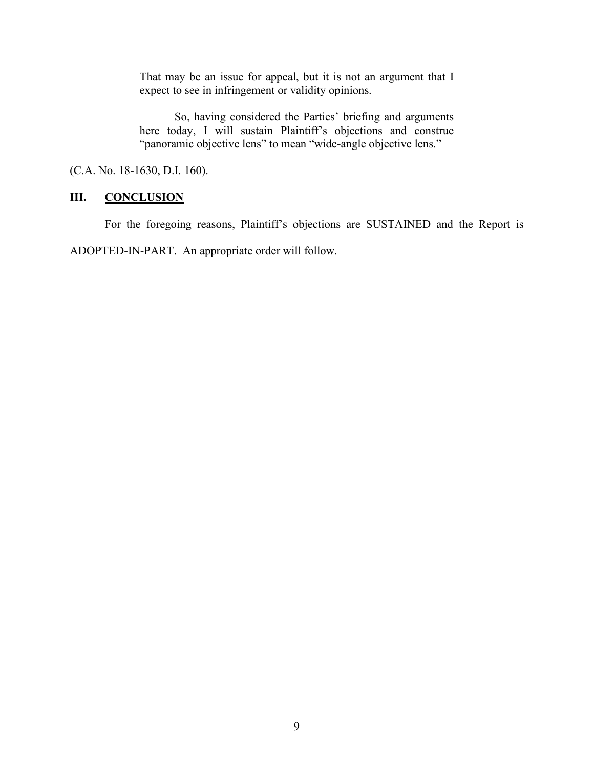That may be an issue for appeal, but it is not an argument that I expect to see in infringement or validity opinions.

So, having considered the Parties' briefing and arguments here today, I will sustain Plaintiff's objections and construe "panoramic objective lens" to mean "wide-angle objective lens."

(C.A. No. 18-1630, D.I. 160).

### **III. CONCLUSION**

For the foregoing reasons, Plaintiff's objections are SUSTAINED and the Report is

ADOPTED-IN-PART. An appropriate order will follow.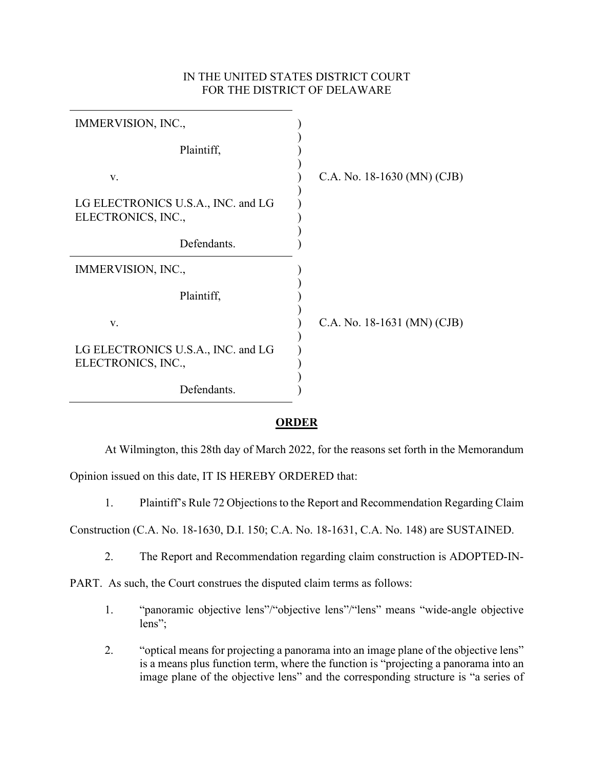## IN THE UNITED STATES DISTRICT COURT FOR THE DISTRICT OF DELAWARE

| IMMERVISION, INC.,                                       |                             |
|----------------------------------------------------------|-----------------------------|
| Plaintiff,                                               |                             |
| V.                                                       | C.A. No. 18-1630 (MN) (CJB) |
| LG ELECTRONICS U.S.A., INC. and LG<br>ELECTRONICS, INC., |                             |
| Defendants.                                              |                             |
| IMMERVISION, INC.,                                       |                             |
| Plaintiff,                                               |                             |
| V.                                                       | C.A. No. 18-1631 (MN) (CJB) |
| LG ELECTRONICS U.S.A., INC. and LG<br>ELECTRONICS, INC., |                             |
| Defendants.                                              |                             |

### **ORDER**

At Wilmington, this 28th day of March 2022, for the reasons set forth in the Memorandum

Opinion issued on this date, IT IS HEREBY ORDERED that:

1. Plaintiff's Rule 72 Objections to the Report and Recommendation Regarding Claim

Construction (C.A. No. 18-1630, D.I. 150; C.A. No. 18-1631, C.A. No. 148) are SUSTAINED.

2. The Report and Recommendation regarding claim construction is ADOPTED-IN-

PART. As such, the Court construes the disputed claim terms as follows:

- 1. "panoramic objective lens"/"objective lens"/"lens" means "wide-angle objective lens";
- 2. "optical means for projecting a panorama into an image plane of the objective lens" is a means plus function term, where the function is "projecting a panorama into an image plane of the objective lens" and the corresponding structure is "a series of